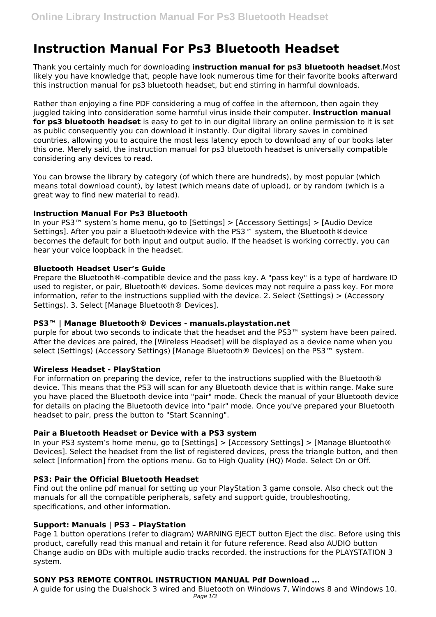# **Instruction Manual For Ps3 Bluetooth Headset**

Thank you certainly much for downloading **instruction manual for ps3 bluetooth headset**.Most likely you have knowledge that, people have look numerous time for their favorite books afterward this instruction manual for ps3 bluetooth headset, but end stirring in harmful downloads.

Rather than enjoying a fine PDF considering a mug of coffee in the afternoon, then again they juggled taking into consideration some harmful virus inside their computer. **instruction manual for ps3 bluetooth headset** is easy to get to in our digital library an online permission to it is set as public consequently you can download it instantly. Our digital library saves in combined countries, allowing you to acquire the most less latency epoch to download any of our books later this one. Merely said, the instruction manual for ps3 bluetooth headset is universally compatible considering any devices to read.

You can browse the library by category (of which there are hundreds), by most popular (which means total download count), by latest (which means date of upload), or by random (which is a great way to find new material to read).

#### **Instruction Manual For Ps3 Bluetooth**

In your PS3™ system's home menu, go to [Settings] > [Accessory Settings] > [Audio Device Settings]. After you pair a Bluetooth®device with the PS3™ system, the Bluetooth®device becomes the default for both input and output audio. If the headset is working correctly, you can hear your voice loopback in the headset.

#### **Bluetooth Headset User's Guide**

Prepare the Bluetooth®-compatible device and the pass key. A "pass key" is a type of hardware ID used to register, or pair, Bluetooth® devices. Some devices may not require a pass key. For more information, refer to the instructions supplied with the device. 2. Select (Settings) > (Accessory Settings). 3. Select [Manage Bluetooth® Devices].

#### **PS3™ | Manage Bluetooth® Devices - manuals.playstation.net**

purple for about two seconds to indicate that the headset and the PS3™ system have been paired. After the devices are paired, the [Wireless Headset] will be displayed as a device name when you select (Settings) (Accessory Settings) [Manage Bluetooth® Devices] on the PS3<sup>™</sup> system.

#### **Wireless Headset - PlayStation**

For information on preparing the device, refer to the instructions supplied with the Bluetooth® device. This means that the PS3 will scan for any Bluetooth device that is within range. Make sure you have placed the Bluetooth device into "pair" mode. Check the manual of your Bluetooth device for details on placing the Bluetooth device into "pair" mode. Once you've prepared your Bluetooth headset to pair, press the button to "Start Scanning".

#### **Pair a Bluetooth Headset or Device with a PS3 system**

In your PS3 system's home menu, go to [Settings] > [Accessory Settings] > [Manage Bluetooth® Devices]. Select the headset from the list of registered devices, press the triangle button, and then select [Information] from the options menu. Go to High Quality (HQ) Mode. Select On or Off.

#### **PS3: Pair the Official Bluetooth Headset**

Find out the online pdf manual for setting up your PlayStation 3 game console. Also check out the manuals for all the compatible peripherals, safety and support guide, troubleshooting, specifications, and other information.

#### **Support: Manuals | PS3 – PlayStation**

Page 1 button operations (refer to diagram) WARNING EIECT button Eiect the disc. Before using this product, carefully read this manual and retain it for future reference. Read also AUDIO button Change audio on BDs with multiple audio tracks recorded. the instructions for the PLAYSTATION 3 system.

## **SONY PS3 REMOTE CONTROL INSTRUCTION MANUAL Pdf Download ...**

A guide for using the Dualshock 3 wired and Bluetooth on Windows 7, Windows 8 and Windows 10. Page 1/3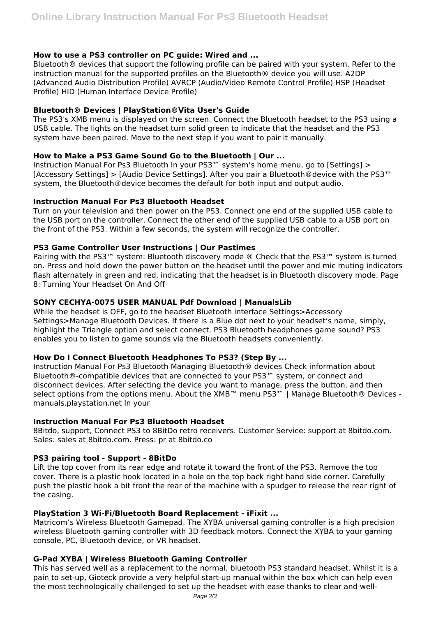### **How to use a PS3 controller on PC guide: Wired and ...**

Bluetooth® devices that support the following profile can be paired with your system. Refer to the instruction manual for the supported profiles on the Bluetooth® device you will use. A2DP (Advanced Audio Distribution Profile) AVRCP (Audio/Video Remote Control Profile) HSP (Headset Profile) HID (Human Interface Device Profile)

## **Bluetooth® Devices | PlayStation®Vita User's Guide**

The PS3's XMB menu is displayed on the screen. Connect the Bluetooth headset to the PS3 using a USB cable. The lights on the headset turn solid green to indicate that the headset and the PS3 system have been paired. Move to the next step if you want to pair it manually.

## **How to Make a PS3 Game Sound Go to the Bluetooth | Our ...**

Instruction Manual For Ps3 Bluetooth In your PS3™ system's home menu, go to [Settings] > [Accessory Settings] > [Audio Device Settings]. After you pair a Bluetooth®device with the PS3™ system, the Bluetooth®device becomes the default for both input and output audio.

#### **Instruction Manual For Ps3 Bluetooth Headset**

Turn on your television and then power on the PS3. Connect one end of the supplied USB cable to the USB port on the controller. Connect the other end of the supplied USB cable to a USB port on the front of the PS3. Within a few seconds, the system will recognize the controller.

## **PS3 Game Controller User Instructions | Our Pastimes**

Pairing with the PS3<sup>™</sup> system: Bluetooth discovery mode ® Check that the PS3<sup>™</sup> system is turned on. Press and hold down the power button on the headset until the power and mic muting indicators flash alternately in green and red, indicating that the headset is in Bluetooth discovery mode. Page 8: Turning Your Headset On And Off

## **SONY CECHYA-0075 USER MANUAL Pdf Download | ManualsLib**

While the headset is OFF, go to the headset Bluetooth interface Settings>Accessory Settings>Manage Bluetooth Devices. If there is a Blue dot next to your headset's name, simply, highlight the Triangle option and select connect. PS3 Bluetooth headphones game sound? PS3 enables you to listen to game sounds via the Bluetooth headsets conveniently.

#### **How Do I Connect Bluetooth Headphones To PS3? (Step By ...**

Instruction Manual For Ps3 Bluetooth Managing Bluetooth® devices Check information about Bluetooth®-compatible devices that are connected to your PS3™ system, or connect and disconnect devices. After selecting the device you want to manage, press the button, and then select options from the options menu. About the XMB<sup>™</sup> menu PS3<sup>™</sup> | Manage Bluetooth® Devices manuals.playstation.net In your

#### **Instruction Manual For Ps3 Bluetooth Headset**

8Bitdo, support, Connect PS3 to 8BitDo retro receivers. Customer Service: support at 8bitdo.com. Sales: sales at 8bitdo.com. Press: pr at 8bitdo.co

#### **PS3 pairing tool - Support - 8BitDo**

Lift the top cover from its rear edge and rotate it toward the front of the PS3. Remove the top cover. There is a plastic hook located in a hole on the top back right hand side corner. Carefully push the plastic hook a bit front the rear of the machine with a spudger to release the rear right of the casing.

#### **PlayStation 3 Wi-Fi/Bluetooth Board Replacement - iFixit ...**

Matricom's Wireless Bluetooth Gamepad. The XYBA universal gaming controller is a high precision wireless Bluetooth gaming controller with 3D feedback motors. Connect the XYBA to your gaming console, PC, Bluetooth device, or VR headset.

#### **G-Pad XYBA | Wireless Bluetooth Gaming Controller**

This has served well as a replacement to the normal, bluetooth PS3 standard headset. Whilst it is a pain to set-up, Gioteck provide a very helpful start-up manual within the box which can help even the most technologically challenged to set up the headset with ease thanks to clear and well